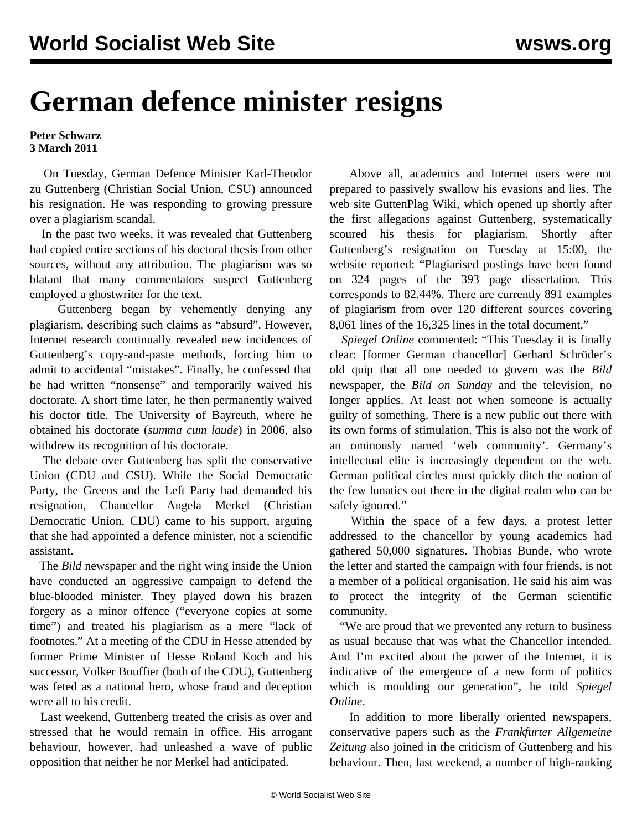## **German defence minister resigns**

## **Peter Schwarz 3 March 2011**

 On Tuesday, German Defence Minister Karl-Theodor zu Guttenberg (Christian Social Union, CSU) announced his resignation. He was responding to growing pressure over a plagiarism scandal.

 In the past two weeks, it was revealed that Guttenberg had copied entire sections of his doctoral thesis from other sources, without any attribution. The plagiarism was so blatant that many commentators suspect Guttenberg employed a ghostwriter for the text.

 Guttenberg began by vehemently denying any plagiarism, describing such claims as "absurd". However, Internet research continually revealed new incidences of Guttenberg's copy-and-paste methods, forcing him to admit to accidental "mistakes". Finally, he confessed that he had written "nonsense" and temporarily waived his doctorate. A short time later, he then permanently waived his doctor title. The University of Bayreuth, where he obtained his doctorate (*summa cum laude*) in 2006, also withdrew its recognition of his doctorate.

 The debate over Guttenberg has split the conservative Union (CDU and CSU). While the Social Democratic Party, the Greens and the Left Party had demanded his resignation, Chancellor Angela Merkel (Christian Democratic Union, CDU) came to his support, arguing that she had appointed a defence minister, not a scientific assistant.

 The *Bild* newspaper and the right wing inside the Union have conducted an aggressive campaign to defend the blue-blooded minister. They played down his brazen forgery as a minor offence ("everyone copies at some time") and treated his plagiarism as a mere "lack of footnotes." At a meeting of the CDU in Hesse attended by former Prime Minister of Hesse Roland Koch and his successor, Volker Bouffier (both of the CDU), Guttenberg was feted as a national hero, whose fraud and deception were all to his credit.

 Last weekend, Guttenberg treated the crisis as over and stressed that he would remain in office. His arrogant behaviour, however, had unleashed a wave of public opposition that neither he nor Merkel had anticipated.

 Above all, academics and Internet users were not prepared to passively swallow his evasions and lies. The web site GuttenPlag Wiki, which opened up shortly after the first allegations against Guttenberg, systematically scoured his thesis for plagiarism. Shortly after Guttenberg's resignation on Tuesday at 15:00, the website reported: "Plagiarised postings have been found on 324 pages of the 393 page dissertation. This corresponds to 82.44%. There are currently 891 examples of plagiarism from over 120 different sources covering 8,061 lines of the 16,325 lines in the total document."

 *Spiegel Online* commented: "This Tuesday it is finally clear: [former German chancellor] Gerhard Schröder's old quip that all one needed to govern was the *Bild* newspaper, the *Bild on Sunday* and the television, no longer applies. At least not when someone is actually guilty of something. There is a new public out there with its own forms of stimulation. This is also not the work of an ominously named 'web community'. Germany's intellectual elite is increasingly dependent on the web. German political circles must quickly ditch the notion of the few lunatics out there in the digital realm who can be safely ignored."

 Within the space of a few days, a protest letter addressed to the chancellor by young academics had gathered 50,000 signatures. Thobias Bunde, who wrote the letter and started the campaign with four friends, is not a member of a political organisation. He said his aim was to protect the integrity of the German scientific community.

 "We are proud that we prevented any return to business as usual because that was what the Chancellor intended. And I'm excited about the power of the Internet, it is indicative of the emergence of a new form of politics which is moulding our generation", he told *Spiegel Online*.

 In addition to more liberally oriented newspapers, conservative papers such as the *Frankfurter Allgemeine Zeitung* also joined in the criticism of Guttenberg and his behaviour. Then, last weekend, a number of high-ranking